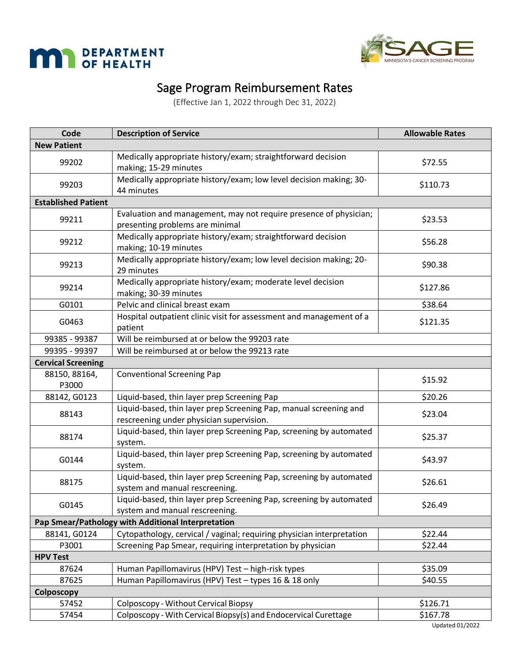



### Sage Program Reimbursement Rates

(Effective Jan 1, 2022 through Dec 31, 2022)

| Code                       | <b>Description of Service</b>                                                                                 | <b>Allowable Rates</b> |
|----------------------------|---------------------------------------------------------------------------------------------------------------|------------------------|
| <b>New Patient</b>         |                                                                                                               |                        |
| 99202                      | Medically appropriate history/exam; straightforward decision<br>making; 15-29 minutes                         | \$72.55                |
| 99203                      | Medically appropriate history/exam; low level decision making; 30-<br>44 minutes                              | \$110.73               |
| <b>Established Patient</b> |                                                                                                               |                        |
| 99211                      | Evaluation and management, may not require presence of physician;<br>presenting problems are minimal          | \$23.53                |
| 99212                      | Medically appropriate history/exam; straightforward decision<br>making; 10-19 minutes                         | \$56.28                |
| 99213                      | Medically appropriate history/exam; low level decision making; 20-<br>29 minutes                              | \$90.38                |
| 99214                      | Medically appropriate history/exam; moderate level decision<br>making; 30-39 minutes                          | \$127.86               |
| G0101                      | Pelvic and clinical breast exam                                                                               | \$38.64                |
| G0463                      | Hospital outpatient clinic visit for assessment and management of a<br>patient                                | \$121.35               |
| 99385 - 99387              | Will be reimbursed at or below the 99203 rate                                                                 |                        |
| 99395 - 99397              | Will be reimbursed at or below the 99213 rate                                                                 |                        |
| <b>Cervical Screening</b>  |                                                                                                               |                        |
| 88150, 88164,<br>P3000     | <b>Conventional Screening Pap</b>                                                                             | \$15.92                |
| 88142, G0123               | Liquid-based, thin layer prep Screening Pap                                                                   | \$20.26                |
| 88143                      | Liquid-based, thin layer prep Screening Pap, manual screening and<br>rescreening under physician supervision. | \$23.04                |
| 88174                      | Liquid-based, thin layer prep Screening Pap, screening by automated<br>system.                                | \$25.37                |
| G0144                      | Liquid-based, thin layer prep Screening Pap, screening by automated<br>system.                                | \$43.97                |
| 88175                      | Liquid-based, thin layer prep Screening Pap, screening by automated<br>system and manual rescreening.         | \$26.61                |
| G0145                      | Liquid-based, thin layer prep Screening Pap, screening by automated<br>system and manual rescreening.         | \$26.49                |
|                            | Pap Smear/Pathology with Additional Interpretation                                                            |                        |
| 88141, G0124               | Cytopathology, cervical / vaginal; requiring physician interpretation                                         | \$22.44                |
| P3001                      | Screening Pap Smear, requiring interpretation by physician                                                    | \$22.44                |
| <b>HPV Test</b>            |                                                                                                               |                        |
| 87624                      | Human Papillomavirus (HPV) Test - high-risk types                                                             | \$35.09                |
| 87625                      | Human Papillomavirus (HPV) Test - types 16 & 18 only                                                          | \$40.55                |
| Colposcopy                 |                                                                                                               |                        |
| 57452                      | Colposcopy - Without Cervical Biopsy                                                                          | \$126.71               |
| 57454                      | Colposcopy - With Cervical Biopsy(s) and Endocervical Curettage                                               | \$167.78               |
|                            |                                                                                                               | <b>Updated 01/2022</b> |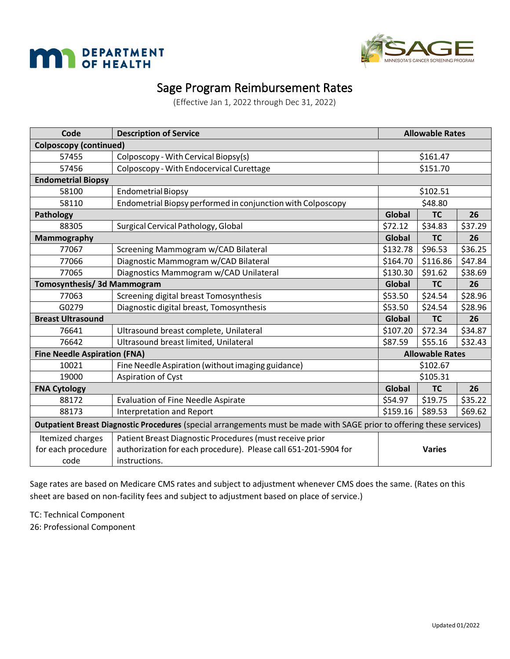



#### Sage Program Reimbursement Rates

(Effective Jan 1, 2022 through Dec 31, 2022)

| Code                                | <b>Description of Service</b>                                                                                          | <b>Allowable Rates</b> |                        |         |  |
|-------------------------------------|------------------------------------------------------------------------------------------------------------------------|------------------------|------------------------|---------|--|
| <b>Colposcopy (continued)</b>       |                                                                                                                        |                        |                        |         |  |
| 57455                               | Colposcopy - With Cervical Biopsy(s)                                                                                   | \$161.47               |                        |         |  |
| 57456                               | Colposcopy - With Endocervical Curettage                                                                               | \$151.70               |                        |         |  |
| <b>Endometrial Biopsy</b>           |                                                                                                                        |                        |                        |         |  |
| 58100                               | <b>Endometrial Biopsy</b>                                                                                              |                        | \$102.51               |         |  |
| 58110                               | Endometrial Biopsy performed in conjunction with Colposcopy                                                            |                        | \$48.80                |         |  |
| <b>Pathology</b>                    |                                                                                                                        | Global                 | <b>TC</b>              | 26      |  |
| 88305                               | Surgical Cervical Pathology, Global                                                                                    | \$72.12                | \$34.83                | \$37.29 |  |
| <b>Mammography</b>                  |                                                                                                                        | Global                 | <b>TC</b>              | 26      |  |
| 77067                               | Screening Mammogram w/CAD Bilateral                                                                                    | \$132.78               | \$96.53                | \$36.25 |  |
| 77066                               | Diagnostic Mammogram w/CAD Bilateral                                                                                   | \$164.70               | \$116.86               | \$47.84 |  |
| 77065                               | Diagnostics Mammogram w/CAD Unilateral                                                                                 | \$130.30               | \$91.62                | \$38.69 |  |
| <b>Tomosynthesis/ 3d Mammogram</b>  |                                                                                                                        | Global                 | <b>TC</b>              | 26      |  |
| 77063                               | Screening digital breast Tomosynthesis                                                                                 | \$53.50                | \$24.54                | \$28.96 |  |
| G0279                               | Diagnostic digital breast, Tomosynthesis                                                                               | \$53.50                | \$24.54                | \$28.96 |  |
| <b>Breast Ultrasound</b>            |                                                                                                                        | Global                 | <b>TC</b>              | 26      |  |
| 76641                               | Ultrasound breast complete, Unilateral                                                                                 | \$107.20               | \$72.34                | \$34.87 |  |
| 76642                               | Ultrasound breast limited, Unilateral                                                                                  | \$87.59                | \$55.16                | \$32.43 |  |
| <b>Fine Needle Aspiration (FNA)</b> |                                                                                                                        |                        | <b>Allowable Rates</b> |         |  |
| 10021                               | Fine Needle Aspiration (without imaging guidance)                                                                      |                        | \$102.67               |         |  |
| 19000                               | Aspiration of Cyst                                                                                                     |                        | \$105.31               |         |  |
| <b>FNA Cytology</b>                 |                                                                                                                        | Global                 | <b>TC</b>              | 26      |  |
| 88172                               | <b>Evaluation of Fine Needle Aspirate</b>                                                                              | \$54.97                | \$19.75                | \$35.22 |  |
| 88173                               | <b>Interpretation and Report</b>                                                                                       | \$159.16               | \$89.53                | \$69.62 |  |
|                                     | Outpatient Breast Diagnostic Procedures (special arrangements must be made with SAGE prior to offering these services) |                        |                        |         |  |
| Itemized charges                    | Patient Breast Diagnostic Procedures (must receive prior                                                               |                        |                        |         |  |
| for each procedure                  | authorization for each procedure). Please call 651-201-5904 for                                                        |                        | <b>Varies</b>          |         |  |
| code                                | instructions.                                                                                                          |                        |                        |         |  |

Sage rates are based on Medicare CMS rates and subject to adjustment whenever CMS does the same. (Rates on this sheet are based on non-facility fees and subject to adjustment based on place of service.)

TC: Technical Component

26: Professional Component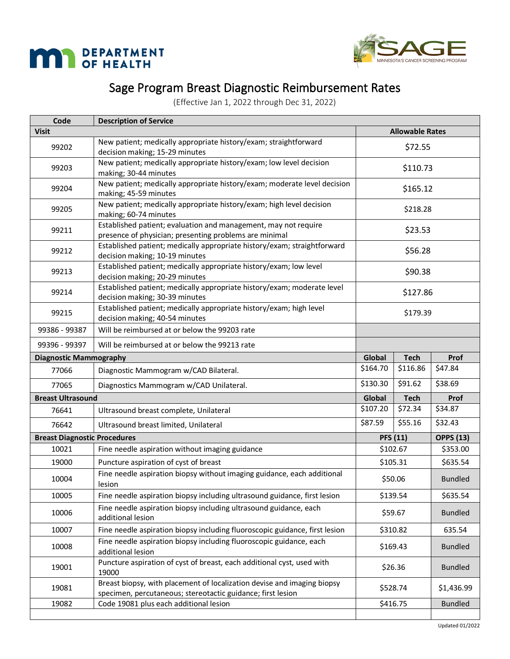



# Sage Program Breast Diagnostic Reimbursement Rates

(Effective Jan 1, 2022 through Dec 31, 2022)

| Code                                | <b>Description of Service</b>                                                                                                          |          |                        |                  |  |
|-------------------------------------|----------------------------------------------------------------------------------------------------------------------------------------|----------|------------------------|------------------|--|
| <b>Visit</b>                        |                                                                                                                                        |          | <b>Allowable Rates</b> |                  |  |
| 99202                               | New patient; medically appropriate history/exam; straightforward<br>decision making; 15-29 minutes                                     |          | \$72.55                |                  |  |
| 99203                               | New patient; medically appropriate history/exam; low level decision<br>making; 30-44 minutes                                           | \$110.73 |                        |                  |  |
| 99204                               | New patient; medically appropriate history/exam; moderate level decision<br>making; 45-59 minutes                                      | \$165.12 |                        |                  |  |
| 99205                               | New patient; medically appropriate history/exam; high level decision<br>making; 60-74 minutes                                          |          | \$218.28               |                  |  |
| 99211                               | Established patient; evaluation and management, may not require<br>presence of physician; presenting problems are minimal              |          | \$23.53                |                  |  |
| 99212                               | Established patient; medically appropriate history/exam; straightforward<br>decision making; 10-19 minutes                             |          | \$56.28                |                  |  |
| 99213                               | Established patient; medically appropriate history/exam; low level<br>decision making; 20-29 minutes                                   |          | \$90.38                |                  |  |
| 99214                               | Established patient; medically appropriate history/exam; moderate level<br>decision making; 30-39 minutes                              |          | \$127.86               |                  |  |
| 99215                               | Established patient; medically appropriate history/exam; high level<br>decision making; 40-54 minutes                                  | \$179.39 |                        |                  |  |
| 99386 - 99387                       | Will be reimbursed at or below the 99203 rate                                                                                          |          |                        |                  |  |
| 99396 - 99397                       | Will be reimbursed at or below the 99213 rate                                                                                          |          |                        |                  |  |
| <b>Diagnostic Mammography</b>       |                                                                                                                                        | Global   | <b>Tech</b>            | Prof             |  |
| 77066                               | Diagnostic Mammogram w/CAD Bilateral.                                                                                                  | \$164.70 | \$116.86               | \$47.84          |  |
| 77065                               | Diagnostics Mammogram w/CAD Unilateral.                                                                                                | \$130.30 | \$91.62                | \$38.69          |  |
| <b>Breast Ultrasound</b>            |                                                                                                                                        | Global   | <b>Tech</b>            | <b>Prof</b>      |  |
| 76641                               | Ultrasound breast complete, Unilateral                                                                                                 | \$107.20 | \$72.34                | \$34.87          |  |
| 76642                               | Ultrasound breast limited, Unilateral                                                                                                  | \$87.59  | \$55.16                | \$32.43          |  |
| <b>Breast Diagnostic Procedures</b> |                                                                                                                                        |          | <b>PFS (11)</b>        | <b>OPPS (13)</b> |  |
| 10021                               | Fine needle aspiration without imaging guidance                                                                                        |          | \$102.67               | \$353.00         |  |
| 19000                               | Puncture aspiration of cyst of breast                                                                                                  | \$105.31 |                        | \$635.54         |  |
| 10004                               | Fine needle aspiration biopsy without imaging guidance, each additional<br>lesion                                                      | \$50.06  |                        | <b>Bundled</b>   |  |
| 10005                               | Fine needle aspiration biopsy including ultrasound guidance, first lesion                                                              | \$139.54 |                        | \$635.54         |  |
| 10006                               | Fine needle aspiration biopsy including ultrasound guidance, each<br>additional lesion                                                 | \$59.67  |                        | <b>Bundled</b>   |  |
| 10007                               | Fine needle aspiration biopsy including fluoroscopic guidance, first lesion                                                            | \$310.82 |                        | 635.54           |  |
| 10008                               | Fine needle aspiration biopsy including fluoroscopic guidance, each<br>additional lesion                                               | \$169.43 |                        | <b>Bundled</b>   |  |
| 19001                               | Puncture aspiration of cyst of breast, each additional cyst, used with<br>19000                                                        | \$26.36  |                        | <b>Bundled</b>   |  |
| 19081                               | Breast biopsy, with placement of localization devise and imaging biopsy<br>specimen, percutaneous; stereotactic guidance; first lesion | \$528.74 |                        | \$1,436.99       |  |
| 19082                               | Code 19081 plus each additional lesion                                                                                                 |          | \$416.75               | <b>Bundled</b>   |  |
|                                     |                                                                                                                                        |          |                        |                  |  |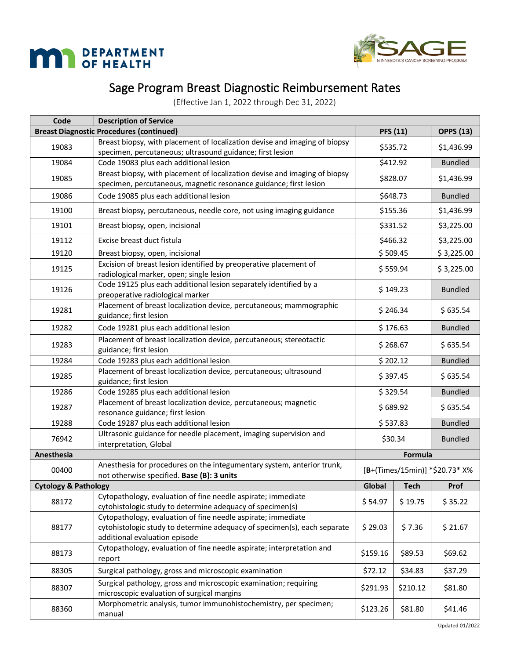



# Sage Program Breast Diagnostic Reimbursement Rates

(Effective Jan 1, 2022 through Dec 31, 2022)

| Code                            | <b>Description of Service</b>                                                                                                                                             |          |                 |                                |
|---------------------------------|---------------------------------------------------------------------------------------------------------------------------------------------------------------------------|----------|-----------------|--------------------------------|
|                                 | <b>Breast Diagnostic Procedures (continued)</b>                                                                                                                           |          | <b>PFS (11)</b> | <b>OPPS (13)</b>               |
| 19083                           | Breast biopsy, with placement of localization devise and imaging of biopsy<br>specimen, percutaneous; ultrasound guidance; first lesion                                   |          | \$535.72        | \$1,436.99                     |
| 19084                           | Code 19083 plus each additional lesion                                                                                                                                    | \$412.92 |                 | <b>Bundled</b>                 |
| 19085                           | Breast biopsy, with placement of localization devise and imaging of biopsy<br>specimen, percutaneous, magnetic resonance guidance; first lesion                           |          | \$828.07        | \$1,436.99                     |
| 19086                           | Code 19085 plus each additional lesion                                                                                                                                    |          | \$648.73        | <b>Bundled</b>                 |
| 19100                           | Breast biopsy, percutaneous, needle core, not using imaging guidance                                                                                                      |          | \$155.36        | \$1,436.99                     |
| 19101                           | Breast biopsy, open, incisional                                                                                                                                           |          | \$331.52        | \$3,225.00                     |
| 19112                           | Excise breast duct fistula                                                                                                                                                |          | \$466.32        | \$3,225.00                     |
| 19120                           | Breast biopsy, open, incisional                                                                                                                                           |          | \$509.45        | \$3,225.00                     |
| 19125                           | Excision of breast lesion identified by preoperative placement of<br>radiological marker, open; single lesion                                                             | \$559.94 |                 | \$3,225.00                     |
| 19126                           | Code 19125 plus each additional lesion separately identified by a<br>preoperative radiological marker                                                                     |          | \$149.23        |                                |
| 19281                           | Placement of breast localization device, percutaneous; mammographic<br>guidance; first lesion                                                                             | \$246.34 |                 | \$635.54                       |
| 19282                           | Code 19281 plus each additional lesion                                                                                                                                    | \$176.63 |                 | <b>Bundled</b>                 |
| 19283                           | Placement of breast localization device, percutaneous; stereotactic<br>guidance; first lesion                                                                             | \$268.67 |                 | \$635.54                       |
| 19284                           | Code 19283 plus each additional lesion                                                                                                                                    | \$202.12 |                 | <b>Bundled</b>                 |
| 19285                           | Placement of breast localization device, percutaneous; ultrasound<br>guidance; first lesion                                                                               | \$397.45 |                 | \$635.54                       |
| 19286                           | Code 19285 plus each additional lesion                                                                                                                                    | \$329.54 |                 | <b>Bundled</b>                 |
| 19287                           | Placement of breast localization device, percutaneous; magnetic<br>resonance guidance; first lesion                                                                       | \$689.92 |                 | \$635.54                       |
| 19288                           | Code 19287 plus each additional lesion                                                                                                                                    | \$537.83 |                 | <b>Bundled</b>                 |
| 76942                           | Ultrasonic guidance for needle placement, imaging supervision and<br>interpretation, Global                                                                               | \$30.34  |                 | <b>Bundled</b>                 |
| Anesthesia                      |                                                                                                                                                                           |          | Formula         |                                |
| 00400                           | Anesthesia for procedures on the integumentary system, anterior trunk,<br>not otherwise specified. Base (B): 3 units                                                      |          |                 | [B+(Times/15min)] *\$20.73* X% |
| <b>Cytology &amp; Pathology</b> |                                                                                                                                                                           | Global   | <b>Tech</b>     | <b>Prof</b>                    |
| 88172                           | Cytopathology, evaluation of fine needle aspirate; immediate<br>cytohistologic study to determine adequacy of specimen(s)                                                 | \$54.97  | \$19.75         | \$35.22                        |
| 88177                           | Cytopathology, evaluation of fine needle aspirate; immediate<br>cytohistologic study to determine adequacy of specimen(s), each separate<br>additional evaluation episode | \$29.03  | \$7.36          | \$21.67                        |
| 88173                           | Cytopathology, evaluation of fine needle aspirate; interpretation and<br>report                                                                                           | \$159.16 | \$89.53         | \$69.62                        |
| 88305                           | Surgical pathology, gross and microscopic examination                                                                                                                     | \$72.12  | \$34.83         | \$37.29                        |
| 88307                           | Surgical pathology, gross and microscopic examination; requiring<br>microscopic evaluation of surgical margins                                                            | \$291.93 | \$210.12        | \$81.80                        |
| 88360                           | Morphometric analysis, tumor immunohistochemistry, per specimen;<br>manual                                                                                                | \$123.26 | \$81.80         | \$41.46                        |